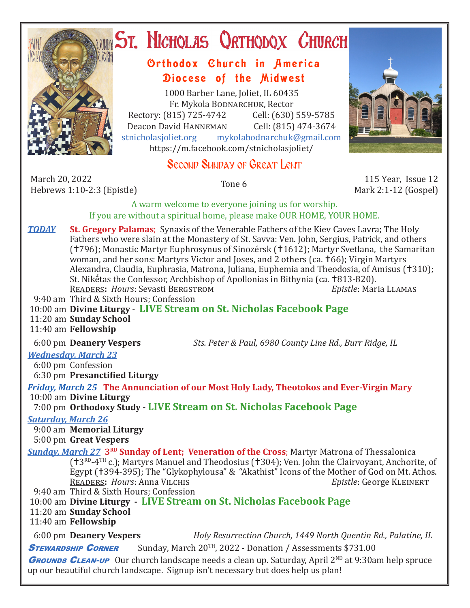

# **ST. NICHOLAS QRTHODOX CHURCH**

## Orthodox Church in America Diocese of the Midwest

1000 Barber Lane, Joliet, IL 60435 Fr. Mykola Bodnarchuk, Rector Rectory: (815) 725-4742 Cell: (630) 559-5785<br>Deacon David HANNEMAN Cell: (815) 474-3674 Deacon David HANNEMAN<br>stnicholasioliet.org mykola mykolabodnarchuk@gmail.com https://m.facebook.com/stnicholasjoliet/

# Second Sunday of Great Lent

March 20, 2022 March 20, 2022 115 Year, Issue 12<br>
Hebrews 1:10-2:3 (Epistle) Tone 6 115 Year, Issue 12



Mark 2:1-12 (Gospel)

A warm welcome to everyone joining us for worship. If you are without a spiritual home, please make OUR HOME, YOUR HOME.

- *TODAY* **St. Gregory Palamas**; Synaxis of the Venerable Fathers of the Kiev Caves Lavra; The Holy Fathers who were slain at the Monastery of St. Savva: Ven. John, Sergius, Patrick, and others (†796); Monastic Martyr Euphrosynus of Sinozérsk (†1612); Martyr Svetlana, the Samaritan woman, and her sons: Martyrs Victor and Joses, and 2 others (ca. 166); Virgin Martyrs Alexandra, Claudia, Euphrasia, Matrona, Juliana, Euphemia and Theodosia, of Amisus (†310); St. Nikḗtas the Confessor, Archbishop of Apollonias in Bithynia (ca. †813-820).<br>READERS: Hours: Sevasti BERGSTROM *Epistle*: Maria LLAMAS READERS: *Hours*: Sevasti BERGSTROM
- 9:40 am Third & Sixth Hours; Confession
- 10:00 am **Divine Liturgy LIVE Stream on St. Nicholas Facebook Page**
- 11:20 am **Sunday School**
- 11:40 am **Fellowship**

6:00 pm **Deanery Vespers** *Sts. Peter & Paul, 6980 County Line Rd., Burr Ridge, IL*

### *Wednesday, March 23*

6:00 pm Confession

6:30 pm **Presanctified Liturgy**

*Friday, March 25* **The Annunciation of our Most Holy Lady, Theotokos and Ever-Virgin Mary** 10:00 am **Divine Liturgy**

7:00 pm **Orthodoxy Study - LIVE Stream on St. Nicholas Facebook Page**

*Saturday, March 26*

9:00 am **Memorial Liturgy**

5:00 pm **Great Vespers**

*Sunday, March 27* **3<sup>RD</sup> Sunday of Lent; Veneration of the Cross**; Martyr Matrona of Thessalonica ( $\uparrow$ 3RD-4TH c.); Martyrs Manuel and Theodosius ( $\uparrow$ 304); Ven. John the Clairvoyant, Anchorite, of Egypt (†394-395); The "Glykophylousa" & "Akathist" Icons of the Mother of God on Mt. Athos.<br>READERS: Hours: Anna VILCHIS Enimers Epistle: George KLEINERT **READERS: Hours: Anna VILCHIS** 9:40 am Third & Sixth Hours; Confession

10:00 am **Divine Liturgy - LIVE Stream on St. Nicholas Facebook Page**

11:20 am **Sunday School**

11:40 am **Fellowship**

 6:00 pm **Deanery Vespers** *Holy Resurrection Church, 1449 North Quentin Rd., Palatine, IL* **STEWARDSHIP CORNER** Sunday, March 20<sup>TH</sup>, 2022 - Donation / Assessments \$731.00

**GROUNDS CLEAN-UP** Our church landscape needs a clean up. Saturday, April 2<sup>ND</sup> at 9:30am help spruce up our beautiful church landscape. Signup isn't necessary but does help us plan!